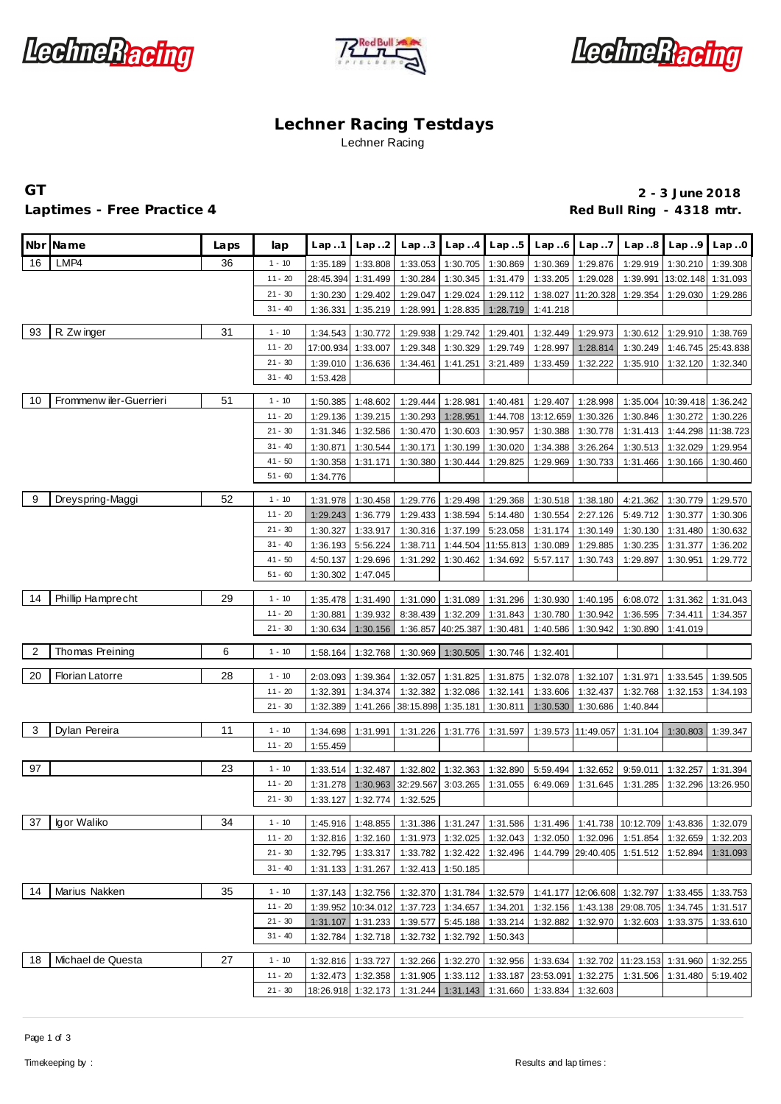





# **Lechner Racing Testdays** Lechner Racing

## Laptimes - Free Practice 4 **Container and American Container Act 2018** Red Bull Ring - 4318 mtr.

**GT 2 - 3 June 2018**

|    | Nbr Name                | Laps | lap       | Lap.1                | Lap2                 | Lap. .3              | Lap.4                      | Lap.5                | Lap.6                                                           | Lap.7                | Lap.8                                                                                  | Lap.9                                                                                                        | Lap.0                |
|----|-------------------------|------|-----------|----------------------|----------------------|----------------------|----------------------------|----------------------|-----------------------------------------------------------------|----------------------|----------------------------------------------------------------------------------------|--------------------------------------------------------------------------------------------------------------|----------------------|
| 16 | LMP4                    | 36   | $1 - 10$  | 1:35.189             | 1:33.808             | 1:33.053             | 1:30.705                   | 1:30.869             | 1:30.369                                                        | 1:29.876             | 1:29.919                                                                               | 1:30.210                                                                                                     | 1:39.308             |
|    |                         |      | $11 - 20$ | 28:45.394            | 1:31.499             | 1:30.284             | 1:30.345                   | 1:31.479             | 1:33.205                                                        | 1:29.028             | 1:39.991                                                                               | 13:02.148                                                                                                    | 1:31.093             |
|    |                         |      | $21 - 30$ | 1:30.230             | 1:29.402             | 1:29.047             | 1:29.024                   | 1:29.112             | 1:38.027                                                        | 11:20.328            | 1:29.354                                                                               | 1:29.030                                                                                                     | 1:29.286             |
|    |                         |      | $31 - 40$ | 1:36.331             | 1:35.219             | 1:28.991             | 1:28.835                   | 1:28.719             | 1:41.218                                                        |                      |                                                                                        |                                                                                                              |                      |
|    |                         |      |           |                      |                      |                      |                            |                      |                                                                 |                      |                                                                                        |                                                                                                              |                      |
| 93 | R. Zw inger             | 31   | $1 - 10$  | 1:34.543             | 1:30.772             | 1:29.938             | 1:29.742                   | 1:29.401             | 1:32.449                                                        | 1:29.973             | 1:30.612                                                                               | 1:29.910                                                                                                     | 1:38.769             |
|    |                         |      | $11 - 20$ | 17:00.934            | 1:33.007             | 1:29.348             | 1:30.329                   | 1:29.749             | 1:28.997                                                        | 1:28.814             | 1:30.249                                                                               | 1:46.745                                                                                                     | 25:43.838            |
|    |                         |      | $21 - 30$ | 1:39.010             | 1:36.636             | 1:34.461             | 1:41.251                   | 3:21.489             | 1:33.459                                                        | 1:32.222             | 1:35.910                                                                               | 1:32.120                                                                                                     | 1:32.340             |
|    |                         |      | $31 - 40$ | 1:53.428             |                      |                      |                            |                      |                                                                 |                      |                                                                                        |                                                                                                              |                      |
| 10 | Frommenw iler-Guerrieri | 51   | $1 - 10$  | 1:50.385             | 1:48.602             | 1:29.444             | 1:28.981                   | 1:40.481             | 1:29.407                                                        | 1:28.998             | 1:35.004                                                                               | 10:39.418 1:36.242                                                                                           |                      |
|    |                         |      | $11 - 20$ | 1:29.136             | 1:39.215             | 1:30.293             | 1:28.951                   |                      | 1:44.708 13:12.659                                              | 1:30.326             | 1:30.846                                                                               | 1:30.272                                                                                                     | 1:30.226             |
|    |                         |      | $21 - 30$ | 1:31.346             | 1:32.586             | 1:30.470             | 1:30.603                   | 1:30.957             | 1:30.388                                                        | 1:30.778             | 1:31.413                                                                               | 1:44.298                                                                                                     | 11:38.723            |
|    |                         |      | $31 - 40$ | 1:30.871             | 1:30.544             | 1:30.171             | 1:30.199                   | 1:30.020             | 1:34.388                                                        | 3:26.264             | 1:30.513                                                                               | 1:32.029                                                                                                     | 1:29.954             |
|    |                         |      | $41 - 50$ | 1:30.358             | 1:31.171             | 1:30.380             | 1:30.444                   | 1:29.825             | 1:29.969                                                        | 1:30.733             | 1:31.466                                                                               | 1:30.166                                                                                                     | 1:30.460             |
|    |                         |      | $51 - 60$ | 1:34.776             |                      |                      |                            |                      |                                                                 |                      |                                                                                        |                                                                                                              |                      |
| 9  | Dreyspring-Maggi        | 52   | $1 - 10$  |                      |                      |                      |                            |                      |                                                                 |                      |                                                                                        |                                                                                                              |                      |
|    |                         |      | $11 - 20$ | 1:31.978<br>1:29.243 | 1:30.458<br>1:36.779 | 1:29.776<br>1:29.433 | 1:29.498<br>1:38.594       | 1:29.368<br>5:14.480 | 1:30.518<br>1:30.554                                            | 1:38.180<br>2:27.126 | 4:21.362<br>5:49.712                                                                   | 1:30.779<br>1:30.377                                                                                         | 1:29.570<br>1:30.306 |
|    |                         |      | $21 - 30$ |                      |                      |                      | 1:37.199                   | 5:23.058             |                                                                 |                      |                                                                                        |                                                                                                              | 1:30.632             |
|    |                         |      | $31 - 40$ | 1:30.327<br>1:36.193 | 1:33.917<br>5:56.224 | 1:30.316<br>1:38.711 |                            | 1:44.504 11:55.813   | 1:31.174<br>1:30.089                                            | 1:30.149<br>1:29.885 | 1:30.130<br>1:30.235                                                                   | 1:31.480<br>1:31.377                                                                                         | 1:36.202             |
|    |                         |      | $41 - 50$ | 4:50.137             | 1:29.696             | 1:31.292             | 1:30.462                   | 1:34.692             | 5:57.117                                                        | 1:30.743             | 1:29.897                                                                               | 1:30.951                                                                                                     | 1:29.772             |
|    |                         |      | $51 - 60$ | 1:30.302             | 1:47.045             |                      |                            |                      |                                                                 |                      |                                                                                        |                                                                                                              |                      |
|    |                         |      |           |                      |                      |                      |                            |                      |                                                                 |                      |                                                                                        |                                                                                                              |                      |
| 14 | Phillip Hamprecht       | 29   | $1 - 10$  | 1:35.478             | 1:31.490             | 1:31.090             | 1:31.089                   | 1:31.296             | 1:30.930                                                        | 1:40.195             | 6:08.072                                                                               | 1:31.362                                                                                                     | 1:31.043             |
|    |                         |      | $11 - 20$ | 1:30.881             | 1:39.932             | 8:38.439             | 1:32.209                   | 1:31.843             | 1:30.780                                                        | 1:30.942             | 1:36.595                                                                               | 7:34.411                                                                                                     | 1:34.357             |
|    |                         |      | $21 - 30$ | 1:30.634             | 1:30.156             | 1:36.857             | 40:25.387                  | 1:30.481             | 1:40.586                                                        | 1:30.942             | 1:30.890                                                                               | 1:41.019                                                                                                     |                      |
| 2  | Thomas Preining         | 6    | $1 - 10$  | 1:58.164             | 1:32.768             | 1:30.969             | 1:30.505                   | 1:30.746             | 1:32.401                                                        |                      |                                                                                        |                                                                                                              |                      |
|    |                         |      |           |                      |                      |                      |                            |                      |                                                                 |                      |                                                                                        |                                                                                                              |                      |
| 20 | <b>Florian Latorre</b>  | 28   | $1 - 10$  | 2:03.093             | 1:39.364             | 1:32.057             | 1:31.825                   | 1:31.875             | 1:32.078                                                        | 1:32.107             | 1:31.971                                                                               | 1:33.545                                                                                                     | 1:39.505             |
|    |                         |      | $11 - 20$ | 1:32.391             | 1:34.374             | 1:32.382             | 1:32.086                   | 1:32.141             | 1:33.606                                                        | 1:32.437             | 1:32.768                                                                               | 1:32.153                                                                                                     | 1:34.193             |
|    |                         |      | $21 - 30$ | 1:32.389             | 1:41.266             | 38:15.898            | 1:35.181                   | 1:30.811             | 1:30.530                                                        | 1:30.686             | 1:40.844                                                                               |                                                                                                              |                      |
| 3  | Dylan Pereira           | 11   | $1 - 10$  |                      | 1:31.991             |                      |                            |                      |                                                                 |                      |                                                                                        |                                                                                                              |                      |
|    |                         |      | $11 - 20$ | 1:34.698<br>1:55.459 |                      | 1:31.226             | 1:31.776                   | 1:31.597             |                                                                 | 1:39.573 11:49.057   | 1:31.104                                                                               | 1:30.803                                                                                                     | 1:39.347             |
|    |                         |      |           |                      |                      |                      |                            |                      |                                                                 |                      |                                                                                        |                                                                                                              |                      |
| 97 |                         | 23   | $1 - 10$  | 1:33.514             | 1:32.487             | 1:32.802             | 1:32.363                   | 1:32.890             | 5:59.494                                                        | 1:32.652             | 9:59.011                                                                               | 1:32.257                                                                                                     | 1:31.394             |
|    |                         |      | $11 - 20$ | 1:31.278             | 1:30.963             | 32:29.567            | 3:03.265                   | 1:31.055             | 6:49.069                                                        | 1:31.645             | 1:31.285                                                                               | 1:32.296                                                                                                     | 13:26.950            |
|    |                         |      | $21 - 30$ | 1:33.127             | 1:32.774             | 1:32.525             |                            |                      |                                                                 |                      |                                                                                        |                                                                                                              |                      |
| 37 | Igor Waliko             | 34   | $1 - 10$  |                      |                      |                      |                            |                      |                                                                 |                      |                                                                                        | 1:45.916   1:48.855   1:31.386   1:31.247   1:31.586   1:31.496   1:41.738   10:12.709   1:43.836   1:32.079 |                      |
|    |                         |      | $11 - 20$ |                      | 1:32.816 1:32.160    |                      | 1:31.973 1:32.025 1:32.043 |                      |                                                                 |                      | 1:32.050 1:32.096 1:51.854                                                             | 1:32.659                                                                                                     | 1:32.203             |
|    |                         |      | $21 - 30$ |                      | 1:32.795 1:33.317    |                      | 1:33.782 1:32.422 1:32.496 |                      |                                                                 | 1:44.799 29:40.405   | 1:51.512                                                                               | 1:52.894                                                                                                     | 1:31.093             |
|    |                         |      | $31 - 40$ |                      | 1:31.133 1:31.267    |                      | 1:32.413 1:50.185          |                      |                                                                 |                      |                                                                                        |                                                                                                              |                      |
|    |                         |      |           |                      |                      |                      |                            |                      |                                                                 |                      |                                                                                        |                                                                                                              |                      |
| 14 | Marius Nakken           | 35   | $1 - 10$  |                      | 1:37.143 1:32.756    |                      | 1:32.370 1:31.784 1:32.579 |                      |                                                                 |                      | 1:41.177 12:06.608 1:32.797 1:33.455                                                   |                                                                                                              | 1:33.753             |
|    |                         |      | $11 - 20$ |                      | 1:39.952 10:34.012   | 1:37.723             |                            | 1:34.657 1:34.201    |                                                                 |                      | 1:32.156   1:43.138   29:08.705   1:34.745                                             |                                                                                                              | 1:31.517             |
|    |                         |      | $21 - 30$ |                      | 1:31.107 1:31.233    | 1:39.577             |                            | 5:45.188 1:33.214    | 1:32.882                                                        | 1:32.970             | 1:32.603                                                                               | 1:33.375                                                                                                     | 1:33.610             |
|    |                         |      | $31 - 40$ | 1:32.784             | 1:32.718             |                      | 1:32.732 1:32.792 1:50.343 |                      |                                                                 |                      |                                                                                        |                                                                                                              |                      |
| 18 | Michael de Questa       | 27   | $1 - 10$  |                      | 1:32.816 1:33.727    |                      | 1:32.266 1:32.270 1:32.956 |                      |                                                                 |                      | 1:33.634 1:32.702 11:23.153 1:31.960                                                   |                                                                                                              | 1:32.255             |
|    |                         |      | $11 - 20$ |                      |                      |                      |                            |                      |                                                                 |                      | 1:32.473   1:32.358   1:31.905   1:33.112   1:33.187   23:53.091   1:32.275   1:31.506 | 1:31.480                                                                                                     | 5:19.402             |
|    |                         |      | $21 - 30$ |                      |                      |                      |                            |                      | 18:26.918 1:32.173 1:31.244 1:31.143 1:31.660 1:33.834 1:32.603 |                      |                                                                                        |                                                                                                              |                      |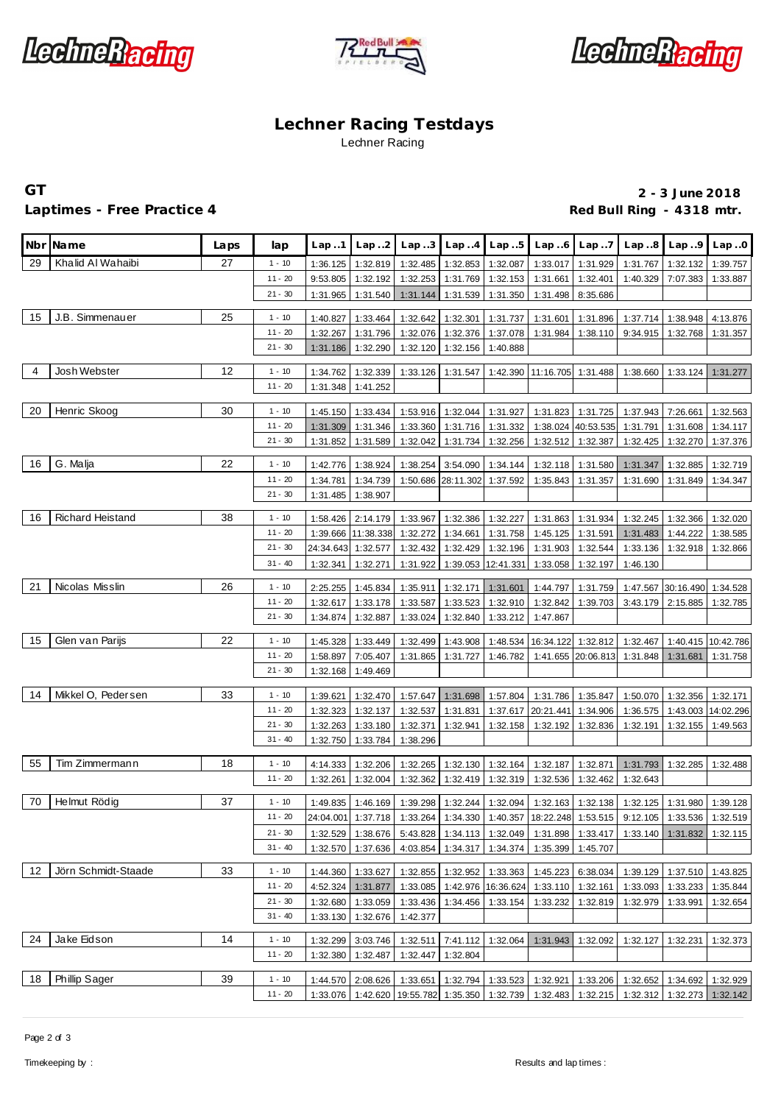





# **Lechner Racing Testdays** Lechner Racing

## Laptimes - Free Practice 4 **Container and American Container Act 2018** Red Bull Ring - 4318 mtr.

**GT 2 - 3 June 2018**

|                | Nbr Name            | Laps | lap                   | Lap.1                | Lap.2                          | Lap.3                | Lap.4                          | Lap.5                | Lap.6                                                                                       | Lap.7                |                                           | $Lap.8$ $Lap.9$      | Lap.0                 |
|----------------|---------------------|------|-----------------------|----------------------|--------------------------------|----------------------|--------------------------------|----------------------|---------------------------------------------------------------------------------------------|----------------------|-------------------------------------------|----------------------|-----------------------|
| 29             | Khalid Al Wahaibi   | 27   | $1 - 10$              | 1:36.125             | 1:32.819                       | 1:32.485             | 1:32.853                       | 1:32.087             | 1:33.017                                                                                    | 1:31.929             | 1:31.767                                  | 1:32.132             | 1:39.757              |
|                |                     |      | $11 - 20$             | 9:53.805             | 1:32.192                       | 1:32.253             | 1:31.769                       | 1:32.153             | 1:31.661                                                                                    | 1:32.401             | 1:40.329                                  | 7:07.383             | 1:33.887              |
|                |                     |      | $21 - 30$             | 1:31.965             | 1:31.540                       | 1:31.144             | 1:31.539                       | 1:31.350             | 1:31.498                                                                                    | 8:35.686             |                                           |                      |                       |
| 15             | J.B. Simmenauer     | 25   | $1 - 10$              | 1:40.827             | 1:33.464                       | 1:32.642             | 1:32.301                       | 1:31.737             | 1:31.601                                                                                    | 1:31.896             |                                           | 1:37.714 1:38.948    | 4:13.876              |
|                |                     |      | $11 - 20$             | 1:32.267             | 1:31.796                       | 1:32.076             | 1:32.376                       | 1:37.078             | 1:31.984                                                                                    | 1:38.110             |                                           | 9:34.915 1:32.768    | 1:31.357              |
|                |                     |      | $21 - 30$             | 1:31.186             | 1:32.290                       | 1:32.120             | 1:32.156                       | 1:40.888             |                                                                                             |                      |                                           |                      |                       |
| $\overline{4}$ | Josh Webster        | 12   | $1 - 10$              |                      |                                |                      |                                |                      |                                                                                             |                      |                                           |                      |                       |
|                |                     |      | $11 - 20$             | 1:34.762<br>1:31.348 | 1:32.339<br>1:41.252           | 1:33.126             | 1:31.547                       |                      | 1:42.390 11:16.705 1:31.488                                                                 |                      | 1:38.660                                  | 1:33.124             | 1:31.277              |
|                |                     |      |                       |                      |                                |                      |                                |                      |                                                                                             |                      |                                           |                      |                       |
| 20             | Henric Skoog        | 30   | $1 - 10$              | 1:45.150             | 1:33.434                       |                      | 1:53.916 1:32.044 1:31.927     |                      | 1:31.823                                                                                    | 1:31.725             | 1:37.943                                  | 7:26.661             | 1:32.563              |
|                |                     |      | $11 - 20$             | 1:31.309             | 1:31.346                       | 1:33.360             |                                | 1:31.716 1:31.332    |                                                                                             | 1:38.024 40:53.535   | 1:31.791                                  | 1:31.608             | 1:34.117              |
|                |                     |      | $21 - 30$             | 1:31.852             | 1:31.589                       | 1:32.042             | 1:31.734                       | 1:32.256             | 1:32.512                                                                                    | 1:32.387             | 1:32.425                                  | 1:32.270             | 1:37.376              |
| 16             | G. Malja            | 22   | $1 - 10$              | 1:42.776             | 1:38.924                       | 1:38.254             | 3:54.090                       | 1:34.144             | 1:32.118                                                                                    | 1:31.580             | 1:31.347                                  | 1:32.885             | 1:32.719              |
|                |                     |      | $11 - 20$             | 1:34.781             | 1:34.739                       |                      | 1:50.686 28:11.302             | 1:37.592             | 1:35.843                                                                                    | 1:31.357             | 1:31.690                                  | 1:31.849             | 1:34.347              |
|                |                     |      | $21 - 30$             | 1:31.485             | 1:38.907                       |                      |                                |                      |                                                                                             |                      |                                           |                      |                       |
| 16             | Richard Heistand    | 38   | $1 - 10$              |                      |                                |                      |                                |                      |                                                                                             | 1:31.934             | 1:32.245                                  |                      | 1:32.020              |
|                |                     |      | $11 - 20$             | 1:58.426             | 2:14.179<br>1:39.666 11:38.338 | 1:33.967<br>1:32.272 | 1:32.386<br>1:34.661           | 1:32.227<br>1:31.758 | 1:31.863<br>1:45.125                                                                        | 1:31.591             | 1:31.483                                  | 1:32.366<br>1:44.222 | 1:38.585              |
|                |                     |      | $21 - 30$             | 24:34.643            | 1:32.577                       | 1:32.432             | 1:32.429                       | 1:32.196             | 1:31.903                                                                                    | 1:32.544             | 1:33.136                                  | 1:32.918             | 1:32.866              |
|                |                     |      | $31 - 40$             | 1:32.341             | 1:32.271                       | 1:31.922             | 1:39.053                       | 12:41.331            | 1:33.058                                                                                    | 1:32.197             | 1:46.130                                  |                      |                       |
|                |                     |      |                       |                      |                                |                      |                                |                      |                                                                                             |                      |                                           |                      |                       |
| 21             | Nicolas Misslin     | 26   | $1 - 10$              | 2:25.255             | 1:45.834                       | 1:35.911             | 1:32.171                       | 1:31.601             | 1:44.797                                                                                    | 1:31.759             |                                           | 1:47.567 30:16.490   | 1:34.528              |
|                |                     |      | $11 - 20$             | 1:32.617             | 1:33.178                       | 1:33.587             | 1:33.523                       | 1:32.910             | 1:32.842                                                                                    | 1:39.703             | 3:43.179                                  | 2:15.885             | 1:32.785              |
|                |                     |      | $21 - 30$             | 1:34.874             | 1:32.887                       | 1:33.024             | 1:32.840                       | 1:33.212             | 1:47.867                                                                                    |                      |                                           |                      |                       |
| 15             | Glen van Parijs     | 22   | $1 - 10$              | 1:45.328             | 1:33.449                       | 1:32.499             | 1:43.908                       | 1:48.534             | 16:34.122                                                                                   | 1:32.812             | 1:32.467                                  |                      | 1:40.415 10:42.786    |
|                |                     |      | $11 - 20$             | 1:58.897             | 7:05.407                       | 1:31.865             | 1:31.727                       | 1:46.782             |                                                                                             | 1:41.655 20:06.813   | 1:31.848                                  | 1:31.681             | 1:31.758              |
|                |                     |      | $21 - 30$             | 1:32.168             | 1:49.469                       |                      |                                |                      |                                                                                             |                      |                                           |                      |                       |
| 14             | Mikkel O, Pedersen  | 33   |                       |                      |                                |                      |                                |                      |                                                                                             |                      |                                           |                      |                       |
|                |                     |      | $1 - 10$<br>$11 - 20$ | 1:39.621             | 1:32.470                       | 1:57.647             | 1:31.698                       | 1:57.804             | 1:31.786                                                                                    | 1:35.847             | 1:50.070                                  | 1:32.356             | 1:32.171              |
|                |                     |      | $21 - 30$             | 1:32.323<br>1:32.263 | 1:32.137<br>1:33.180           | 1:32.537<br>1:32.371 | 1:31.831<br>1:32.941           | 1:32.158             | 1:37.617 20:21.441<br>1:32.192                                                              | 1:34.906<br>1:32.836 | 1:36.575<br>1:32.191                      | 1:43.003<br>1:32.155 | 14:02.296<br>1:49.563 |
|                |                     |      | $31 - 40$             | 1:32.750             | 1:33.784                       | 1:38.296             |                                |                      |                                                                                             |                      |                                           |                      |                       |
|                |                     |      |                       |                      |                                |                      |                                |                      |                                                                                             |                      |                                           |                      |                       |
| 55             | Tim Zimmermann      | 18   | $1 - 10$              | 4:14.333             | 1:32.206                       | 1:32.265             | 1:32.130                       | 1:32.164             | 1:32.187                                                                                    | 1:32.871             | 1:31.793                                  | 1:32.285             | 1:32.488              |
|                |                     |      | $11 - 20$             | 1:32.261             | 1:32.004                       | 1:32.362             | 1:32.419                       | 1:32.319             | 1:32.536                                                                                    | 1:32.462             | 1:32.643                                  |                      |                       |
| 70             | Helmut Rödig        | 37   | $1 - 10$              | 1:49.835             | 1:46.169                       | 1:39.298             |                                |                      | 1:32.244   1:32.094   1:32.163   1:32.138   1:32.125   1:31.980   1:39.128                  |                      |                                           |                      |                       |
|                |                     |      | $11 - 20$             |                      |                                |                      |                                |                      | 24:04.001 1:37.718 1:33.264 1:34.330 1:40.357 18:22.248 1:53.515 9:12.105 1:33.536 1:32.519 |                      |                                           |                      |                       |
|                |                     |      | $21 - 30$             | 1:32.529             | 1:38.676                       | 5:43.828             | 1:34.113                       | 1:32.049             | 1:31.898                                                                                    | 1:33.417             |                                           | 1:33.140 1:31.832    | 1:32.115              |
|                |                     |      | $31 - 40$             | 1:32.570             | 1:37.636                       | 4:03.854             | 1:34.317                       | 1:34.374             | 1:35.399                                                                                    | 1:45.707             |                                           |                      |                       |
|                |                     |      |                       |                      |                                |                      |                                |                      |                                                                                             |                      |                                           |                      |                       |
| 12             | Jörn Schmidt-Staade | 33   | $1 - 10$              | 1:44.360             | 1:33.627                       | 1:32.855             | 1:32.952                       | 1:33.363             | 1:45.223                                                                                    | 6:38.034             | 1:39.129                                  | 1:37.510             | 1:43.825              |
|                |                     |      | $11 - 20$             | 4:52.324             | 1:31.877                       | 1:33.085             | 1:42.976                       | 16:36.624            | 1:33.110                                                                                    | 1:32.161             | 1:33.093                                  | 1:33.233             | 1:35.844              |
|                |                     |      | $21 - 30$             | 1:32.680             | 1:33.059                       | 1:33.436             | 1:34.456                       | 1:33.154             | 1:33.232                                                                                    | 1:32.819             | 1:32.979                                  | 1:33.991             | 1:32.654              |
|                |                     |      | $31 - 40$             | 1:33.130             | 1:32.676                       | 1:42.377             |                                |                      |                                                                                             |                      |                                           |                      |                       |
| 24             | Jake Eidson         | 14   | $1 - 10$              | 1:32.299             | 3:03.746                       | 1:32.511             | 7:41.112                       | 1:32.064             | 1:31.943                                                                                    | 1:32.092             | 1:32.127                                  | 1:32.231             | 1:32.373              |
|                |                     |      | $11 - 20$             | 1:32.380             | 1:32.487                       | 1:32.447             | 1:32.804                       |                      |                                                                                             |                      |                                           |                      |                       |
| 18             | Phillip Sager       | 39   | $1 - 10$              | 1:44.570             | 2:08.626                       |                      | 1:33.651   1:32.794   1:33.523 |                      |                                                                                             |                      | 1:32.921   1:33.206   1:32.652   1:34.692 |                      | 1:32.929              |
|                |                     |      | $11 - 20$             |                      |                                |                      |                                |                      | 1:33.076 1:42.620 19:55.782 1:35.350 1:32.739 1:32.483 1:32.215 1:32.312 1:32.273 1:32.142  |                      |                                           |                      |                       |